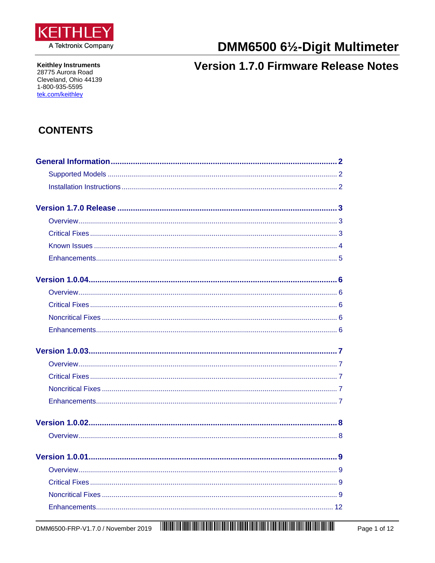<span id="page-0-0"></span>

**Keithley Instruments** 28775 Aurora Road Cleveland, Ohio 44139 1-800-935-5595 tek.com/keithley

# DMM6500 61/2-Digit Multimeter

## **Version 1.7.0 Firmware Release Notes**

### **CONTENTS**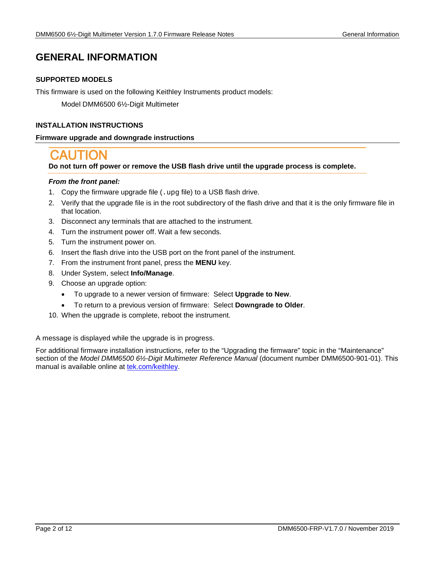### <span id="page-1-0"></span>**GENERAL INFORMATION**

#### **SUPPORTED MODELS**

This firmware is used on the following Keithley Instruments product models:

Model DMM6500 6½-Digit Multimeter

#### <span id="page-1-1"></span>**INSTALLATION INSTRUCTIONS**

#### **Firmware upgrade and downgrade instructions**

**Do not turn off power or remove the USB flash drive until the upgrade process is complete.**

#### *From the front panel:*

- 1. Copy the firmware upgrade file (. upg file) to a USB flash drive.
- 2. Verify that the upgrade file is in the root subdirectory of the flash drive and that it is the only firmware file in that location.
- 3. Disconnect any terminals that are attached to the instrument.
- 4. Turn the instrument power off. Wait a few seconds.
- 5. Turn the instrument power on.
- 6. Insert the flash drive into the USB port on the front panel of the instrument.
- 7. From the instrument front panel, press the **MENU** key.
- 8. Under System, select **Info/Manage**.
- 9. Choose an upgrade option:
	- To upgrade to a newer version of firmware: Select **Upgrade to New**.
	- To return to a previous version of firmware: Select **Downgrade to Older**.
- 10. When the upgrade is complete, reboot the instrument.

A message is displayed while the upgrade is in progress.

For additional firmware installation instructions, refer to the "Upgrading the firmware" topic in the "Maintenance" section of the *Model DMM6500 6½-Digit Multimeter Reference Manual* (document number DMM6500-901-01). This manual is available online at [tek.com/keithley.](https://www.tek.com/keithley)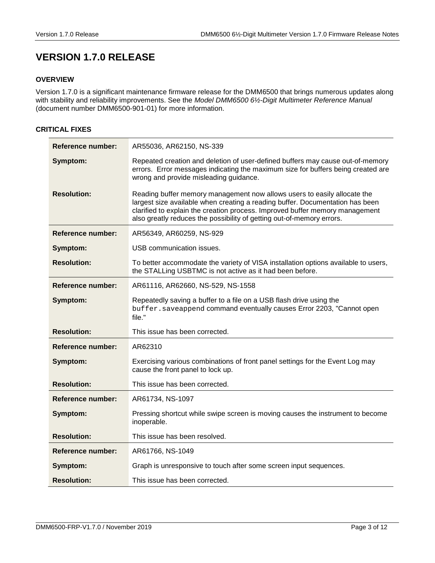### <span id="page-2-0"></span>**VERSION 1.7.0 RELEASE**

#### <span id="page-2-1"></span>**OVERVIEW**

Version 1.7.0 is a significant maintenance firmware release for the DMM6500 that brings numerous updates along with stability and reliability improvements. See the *Model DMM6500 6½-Digit Multimeter Reference Manual*  (document number DMM6500-901-01) for more information.

#### <span id="page-2-2"></span>**CRITICAL FIXES**

| <b>Reference number:</b> | AR55036, AR62150, NS-339                                                                                                                                                                                                                                                                                           |
|--------------------------|--------------------------------------------------------------------------------------------------------------------------------------------------------------------------------------------------------------------------------------------------------------------------------------------------------------------|
| Symptom:                 | Repeated creation and deletion of user-defined buffers may cause out-of-memory<br>errors. Error messages indicating the maximum size for buffers being created are<br>wrong and provide misleading guidance.                                                                                                       |
| <b>Resolution:</b>       | Reading buffer memory management now allows users to easily allocate the<br>largest size available when creating a reading buffer. Documentation has been<br>clarified to explain the creation process. Improved buffer memory management<br>also greatly reduces the possibility of getting out-of-memory errors. |
| <b>Reference number:</b> | AR56349, AR60259, NS-929                                                                                                                                                                                                                                                                                           |
| Symptom:                 | USB communication issues.                                                                                                                                                                                                                                                                                          |
| <b>Resolution:</b>       | To better accommodate the variety of VISA installation options available to users,<br>the STALLing USBTMC is not active as it had been before.                                                                                                                                                                     |
| Reference number:        | AR61116, AR62660, NS-529, NS-1558                                                                                                                                                                                                                                                                                  |
| Symptom:                 | Repeatedly saving a buffer to a file on a USB flash drive using the<br>buffer.saveappend command eventually causes Error 2203, "Cannot open<br>file."                                                                                                                                                              |
| <b>Resolution:</b>       | This issue has been corrected.                                                                                                                                                                                                                                                                                     |
| Reference number:        | AR62310                                                                                                                                                                                                                                                                                                            |
| Symptom:                 | Exercising various combinations of front panel settings for the Event Log may<br>cause the front panel to lock up.                                                                                                                                                                                                 |
| <b>Resolution:</b>       | This issue has been corrected.                                                                                                                                                                                                                                                                                     |
| Reference number:        | AR61734, NS-1097                                                                                                                                                                                                                                                                                                   |
| Symptom:                 | Pressing shortcut while swipe screen is moving causes the instrument to become<br>inoperable.                                                                                                                                                                                                                      |
| <b>Resolution:</b>       | This issue has been resolved.                                                                                                                                                                                                                                                                                      |
| <b>Reference number:</b> | AR61766, NS-1049                                                                                                                                                                                                                                                                                                   |
| Symptom:                 | Graph is unresponsive to touch after some screen input sequences.                                                                                                                                                                                                                                                  |
| <b>Resolution:</b>       | This issue has been corrected.                                                                                                                                                                                                                                                                                     |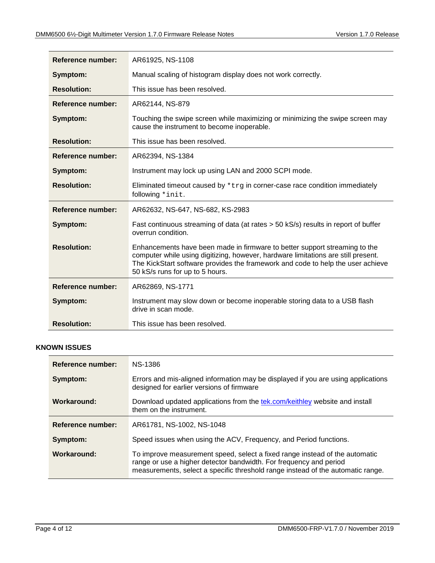| Reference number:        | AR61925, NS-1108                                                                                                                                                                                                                                                                      |
|--------------------------|---------------------------------------------------------------------------------------------------------------------------------------------------------------------------------------------------------------------------------------------------------------------------------------|
| Symptom:                 | Manual scaling of histogram display does not work correctly.                                                                                                                                                                                                                          |
| <b>Resolution:</b>       | This issue has been resolved.                                                                                                                                                                                                                                                         |
| Reference number:        | AR62144, NS-879                                                                                                                                                                                                                                                                       |
| Symptom:                 | Touching the swipe screen while maximizing or minimizing the swipe screen may<br>cause the instrument to become inoperable.                                                                                                                                                           |
| <b>Resolution:</b>       | This issue has been resolved.                                                                                                                                                                                                                                                         |
| Reference number:        | AR62394, NS-1384                                                                                                                                                                                                                                                                      |
| Symptom:                 | Instrument may lock up using LAN and 2000 SCPI mode.                                                                                                                                                                                                                                  |
| <b>Resolution:</b>       | Eliminated timeout caused by $*$ trg in corner-case race condition immediately<br>following *init.                                                                                                                                                                                    |
| <b>Reference number:</b> | AR62632, NS-647, NS-682, KS-2983                                                                                                                                                                                                                                                      |
| Symptom:                 | Fast continuous streaming of data (at rates > 50 kS/s) results in report of buffer<br>overrun condition.                                                                                                                                                                              |
| <b>Resolution:</b>       | Enhancements have been made in firmware to better support streaming to the<br>computer while using digitizing, however, hardware limitations are still present.<br>The KickStart software provides the framework and code to help the user achieve<br>50 kS/s runs for up to 5 hours. |
| Reference number:        | AR62869, NS-1771                                                                                                                                                                                                                                                                      |
| Symptom:                 | Instrument may slow down or become inoperable storing data to a USB flash<br>drive in scan mode.                                                                                                                                                                                      |
| <b>Resolution:</b>       | This issue has been resolved.                                                                                                                                                                                                                                                         |

#### <span id="page-3-0"></span>**KNOWN ISSUES**

| Reference number: | NS-1386                                                                                                                                                                                                                              |
|-------------------|--------------------------------------------------------------------------------------------------------------------------------------------------------------------------------------------------------------------------------------|
| Symptom:          | Errors and mis-aligned information may be displayed if you are using applications<br>designed for earlier versions of firmware                                                                                                       |
| Workaround:       | Download updated applications from the tek.com/keithley website and install<br>them on the instrument.                                                                                                                               |
| Reference number: | AR61781, NS-1002, NS-1048                                                                                                                                                                                                            |
| Symptom:          | Speed issues when using the ACV, Frequency, and Period functions.                                                                                                                                                                    |
| Workaround:       | To improve measurement speed, select a fixed range instead of the automatic<br>range or use a higher detector bandwidth. For frequency and period<br>measurements, select a specific threshold range instead of the automatic range. |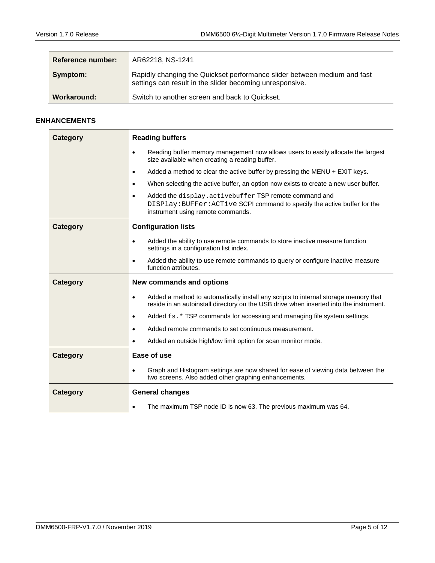| <b>Reference number:</b> | AR62218, NS-1241                                                                                                                     |
|--------------------------|--------------------------------------------------------------------------------------------------------------------------------------|
| Symptom:                 | Rapidly changing the Quickset performance slider between medium and fast<br>settings can result in the slider becoming unresponsive. |
| Workaround:              | Switch to another screen and back to Quickset.                                                                                       |

#### <span id="page-4-0"></span>**ENHANCEMENTS**

| <b>Category</b> | <b>Reading buffers</b>                                                                                                                                                                     |
|-----------------|--------------------------------------------------------------------------------------------------------------------------------------------------------------------------------------------|
|                 | Reading buffer memory management now allows users to easily allocate the largest<br>$\bullet$<br>size available when creating a reading buffer.                                            |
|                 | Added a method to clear the active buffer by pressing the MENU $+$ EXIT keys.<br>$\bullet$                                                                                                 |
|                 | When selecting the active buffer, an option now exists to create a new user buffer.<br>$\bullet$                                                                                           |
|                 | Added the display.activebuffer TSP remote command and<br>$\bullet$<br>DISPlay: BUFFer: ACTive SCPI command to specify the active buffer for the<br>instrument using remote commands.       |
| <b>Category</b> | <b>Configuration lists</b>                                                                                                                                                                 |
|                 | Added the ability to use remote commands to store inactive measure function<br>$\bullet$<br>settings in a configuration list index.                                                        |
|                 | Added the ability to use remote commands to query or configure inactive measure<br>$\bullet$<br>function attributes.                                                                       |
| <b>Category</b> | <b>New commands and options</b>                                                                                                                                                            |
|                 | Added a method to automatically install any scripts to internal storage memory that<br>$\bullet$<br>reside in an autoinstall directory on the USB drive when inserted into the instrument. |
|                 |                                                                                                                                                                                            |
|                 | Added $f_s$ . * TSP commands for accessing and managing file system settings.<br>$\bullet$                                                                                                 |
|                 | Added remote commands to set continuous measurement.<br>$\bullet$                                                                                                                          |
|                 | Added an outside high/low limit option for scan monitor mode.<br>$\bullet$                                                                                                                 |
| <b>Category</b> | Ease of use                                                                                                                                                                                |
|                 | Graph and Histogram settings are now shared for ease of viewing data between the<br>$\bullet$<br>two screens. Also added other graphing enhancements.                                      |
| <b>Category</b> | <b>General changes</b>                                                                                                                                                                     |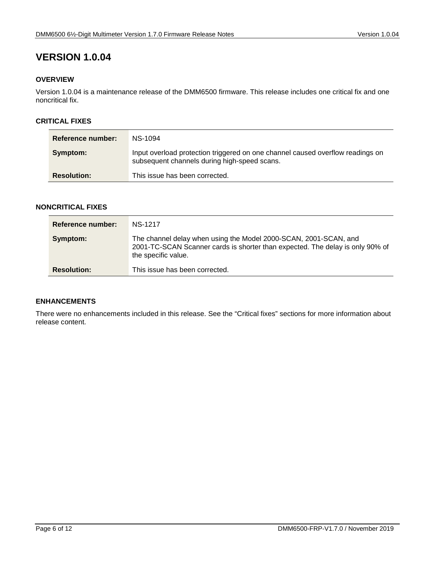#### <span id="page-5-1"></span><span id="page-5-0"></span>**OVERVIEW**

Version 1.0.04 is a maintenance release of the DMM6500 firmware. This release includes one critical fix and one noncritical fix.

#### <span id="page-5-2"></span>**CRITICAL FIXES**

| Reference number:  | NS-1094                                                                                                                        |
|--------------------|--------------------------------------------------------------------------------------------------------------------------------|
| Symptom:           | Input overload protection triggered on one channel caused overflow readings on<br>subsequent channels during high-speed scans. |
| <b>Resolution:</b> | This issue has been corrected.                                                                                                 |

#### <span id="page-5-3"></span>**NONCRITICAL FIXES**

| Reference number:  | <b>NS-1217</b>                                                                                                                                                           |
|--------------------|--------------------------------------------------------------------------------------------------------------------------------------------------------------------------|
| Symptom:           | The channel delay when using the Model 2000-SCAN, 2001-SCAN, and<br>2001-TC-SCAN Scanner cards is shorter than expected. The delay is only 90% of<br>the specific value. |
| <b>Resolution:</b> | This issue has been corrected.                                                                                                                                           |

### <span id="page-5-4"></span>**ENHANCEMENTS**

There were no enhancements included in this release. See the "Critical fixes" sections for more information about release content.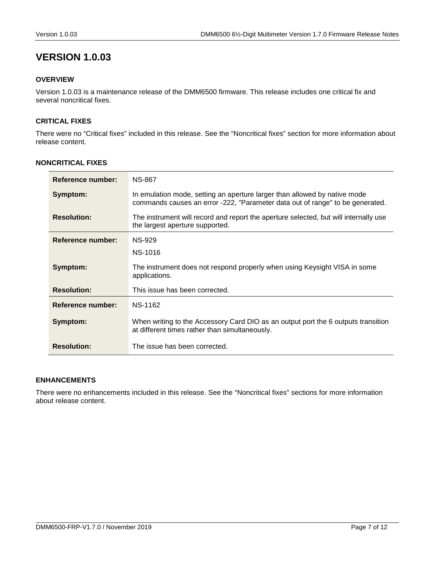#### <span id="page-6-1"></span><span id="page-6-0"></span>**OVERVIEW**

Version 1.0.03 is a maintenance release of the DMM6500 firmware. This release includes one critical fix and several noncritical fixes.

#### <span id="page-6-2"></span>**CRITICAL FIXES**

There were no "Critical fixes" included in this release. See the "Noncritical fixes" section for more information about release content.

| Reference number:        | <b>NS-867</b>                                                                                                                                              |
|--------------------------|------------------------------------------------------------------------------------------------------------------------------------------------------------|
| Symptom:                 | In emulation mode, setting an aperture larger than allowed by native mode<br>commands causes an error -222, "Parameter data out of range" to be generated. |
| <b>Resolution:</b>       | The instrument will record and report the aperture selected, but will internally use<br>the largest aperture supported.                                    |
| Reference number:        | <b>NS-929</b>                                                                                                                                              |
|                          | NS-1016                                                                                                                                                    |
| Symptom:                 | The instrument does not respond properly when using Keysight VISA in some<br>applications.                                                                 |
| <b>Resolution:</b>       | This issue has been corrected.                                                                                                                             |
| <b>Reference number:</b> | <b>NS-1162</b>                                                                                                                                             |
| Symptom:                 | When writing to the Accessory Card DIO as an output port the 6 outputs transition<br>at different times rather than simultaneously.                        |
| <b>Resolution:</b>       | The issue has been corrected.                                                                                                                              |

#### <span id="page-6-3"></span>**NONCRITICAL FIXES**

#### <span id="page-6-4"></span>**ENHANCEMENTS**

There were no enhancements included in this release. See the "Noncritical fixes" sections for more information about release content.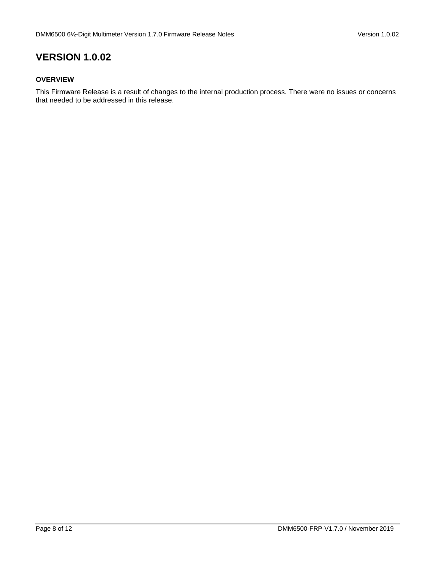#### <span id="page-7-1"></span><span id="page-7-0"></span>**OVERVIEW**

This Firmware Release is a result of changes to the internal production process. There were no issues or concerns that needed to be addressed in this release.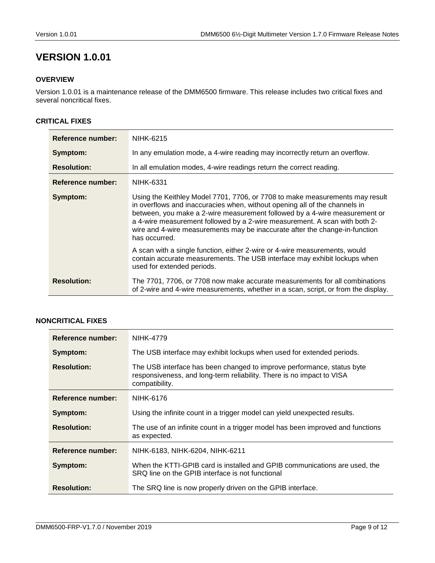#### <span id="page-8-1"></span><span id="page-8-0"></span>**OVERVIEW**

Version 1.0.01 is a maintenance release of the DMM6500 firmware. This release includes two critical fixes and several noncritical fixes.

#### <span id="page-8-2"></span>**CRITICAL FIXES**

| Reference number:        | NIHK-6215                                                                                                                                                                                                                                                                                                                                                                                                              |
|--------------------------|------------------------------------------------------------------------------------------------------------------------------------------------------------------------------------------------------------------------------------------------------------------------------------------------------------------------------------------------------------------------------------------------------------------------|
| Symptom:                 | In any emulation mode, a 4-wire reading may incorrectly return an overflow.                                                                                                                                                                                                                                                                                                                                            |
| <b>Resolution:</b>       | In all emulation modes, 4-wire readings return the correct reading.                                                                                                                                                                                                                                                                                                                                                    |
| <b>Reference number:</b> | NIHK-6331                                                                                                                                                                                                                                                                                                                                                                                                              |
| Symptom:                 | Using the Keithley Model 7701, 7706, or 7708 to make measurements may result<br>in overflows and inaccuracies when, without opening all of the channels in<br>between, you make a 2-wire measurement followed by a 4-wire measurement or<br>a 4-wire measurement followed by a 2-wire measurement. A scan with both 2-<br>wire and 4-wire measurements may be inaccurate after the change-in-function<br>has occurred. |
|                          | A scan with a single function, either 2-wire or 4-wire measurements, would<br>contain accurate measurements. The USB interface may exhibit lockups when<br>used for extended periods.                                                                                                                                                                                                                                  |
| <b>Resolution:</b>       | The 7701, 7706, or 7708 now make accurate measurements for all combinations<br>of 2-wire and 4-wire measurements, whether in a scan, script, or from the display.                                                                                                                                                                                                                                                      |

### <span id="page-8-3"></span>**NONCRITICAL FIXES**

| Reference number:        | <b>NIHK-4779</b>                                                                                                                                                  |
|--------------------------|-------------------------------------------------------------------------------------------------------------------------------------------------------------------|
| Symptom:                 | The USB interface may exhibit lockups when used for extended periods.                                                                                             |
| <b>Resolution:</b>       | The USB interface has been changed to improve performance, status byte<br>responsiveness, and long-term reliability. There is no impact to VISA<br>compatibility. |
| Reference number:        | NIHK-6176                                                                                                                                                         |
| Symptom:                 | Using the infinite count in a trigger model can yield unexpected results.                                                                                         |
| <b>Resolution:</b>       | The use of an infinite count in a trigger model has been improved and functions<br>as expected.                                                                   |
| <b>Reference number:</b> | NIHK-6183, NIHK-6204, NIHK-6211                                                                                                                                   |
| Symptom:                 | When the KTTI-GPIB card is installed and GPIB communications are used, the<br>SRQ line on the GPIB interface is not functional                                    |
| <b>Resolution:</b>       | The SRQ line is now properly driven on the GPIB interface.                                                                                                        |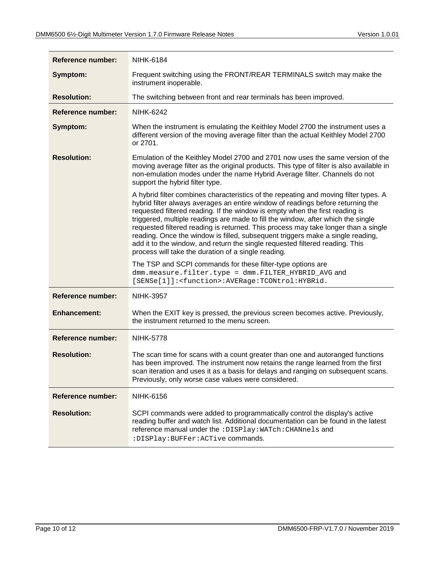| <b>Reference number:</b> | NIHK-6184                                                                                                                                                                                                                                                                                                                                                                                                                                                                                                                                                                                                                                                  |
|--------------------------|------------------------------------------------------------------------------------------------------------------------------------------------------------------------------------------------------------------------------------------------------------------------------------------------------------------------------------------------------------------------------------------------------------------------------------------------------------------------------------------------------------------------------------------------------------------------------------------------------------------------------------------------------------|
| Symptom:                 | Frequent switching using the FRONT/REAR TERMINALS switch may make the<br>instrument inoperable.                                                                                                                                                                                                                                                                                                                                                                                                                                                                                                                                                            |
| <b>Resolution:</b>       | The switching between front and rear terminals has been improved.                                                                                                                                                                                                                                                                                                                                                                                                                                                                                                                                                                                          |
| <b>Reference number:</b> | <b>NIHK-6242</b>                                                                                                                                                                                                                                                                                                                                                                                                                                                                                                                                                                                                                                           |
| Symptom:                 | When the instrument is emulating the Keithley Model 2700 the instrument uses a<br>different version of the moving average filter than the actual Keithley Model 2700<br>or 2701.                                                                                                                                                                                                                                                                                                                                                                                                                                                                           |
| <b>Resolution:</b>       | Emulation of the Keithley Model 2700 and 2701 now uses the same version of the<br>moving average filter as the original products. This type of filter is also available in<br>non-emulation modes under the name Hybrid Average filter. Channels do not<br>support the hybrid filter type.                                                                                                                                                                                                                                                                                                                                                                 |
|                          | A hybrid filter combines characteristics of the repeating and moving filter types. A<br>hybrid filter always averages an entire window of readings before returning the<br>requested filtered reading. If the window is empty when the first reading is<br>triggered, multiple readings are made to fill the window, after which the single<br>requested filtered reading is returned. This process may take longer than a single<br>reading. Once the window is filled, subsequent triggers make a single reading,<br>add it to the window, and return the single requested filtered reading. This<br>process will take the duration of a single reading. |
|                          | The TSP and SCPI commands for these filter-type options are<br>dmm.measure.filter.type = dmm.FILTER_HYBRID_AVG and<br>[SENSe[1]]: <function>:AVERage:TCONtrol:HYBRid.</function>                                                                                                                                                                                                                                                                                                                                                                                                                                                                           |
| <b>Reference number:</b> | <b>NIHK-3957</b>                                                                                                                                                                                                                                                                                                                                                                                                                                                                                                                                                                                                                                           |
| <b>Enhancement:</b>      | When the EXIT key is pressed, the previous screen becomes active. Previously,<br>the instrument returned to the menu screen.                                                                                                                                                                                                                                                                                                                                                                                                                                                                                                                               |
| <b>Reference number:</b> | <b>NIHK-5778</b>                                                                                                                                                                                                                                                                                                                                                                                                                                                                                                                                                                                                                                           |
| <b>Resolution:</b>       | The scan time for scans with a count greater than one and autoranged functions<br>has been improved. The instrument now retains the range learned from the first<br>scan iteration and uses it as a basis for delays and ranging on subsequent scans.<br>Previously, only worse case values were considered.                                                                                                                                                                                                                                                                                                                                               |
| <b>Reference number:</b> | <b>NIHK-6156</b>                                                                                                                                                                                                                                                                                                                                                                                                                                                                                                                                                                                                                                           |
| <b>Resolution:</b>       | SCPI commands were added to programmatically control the display's active<br>reading buffer and watch list. Additional documentation can be found in the latest<br>reference manual under the : DISPlay: WATch: CHANnels and<br>: DISPlay: BUFFer: ACTive commands.                                                                                                                                                                                                                                                                                                                                                                                        |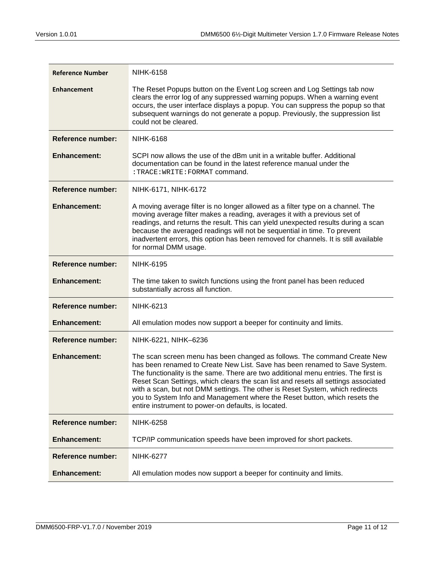| <b>Reference Number</b>  | <b>NIHK-6158</b>                                                                                                                                                                                                                                                                                                                                                                                                                                                                                                                                         |
|--------------------------|----------------------------------------------------------------------------------------------------------------------------------------------------------------------------------------------------------------------------------------------------------------------------------------------------------------------------------------------------------------------------------------------------------------------------------------------------------------------------------------------------------------------------------------------------------|
| <b>Enhancement</b>       | The Reset Popups button on the Event Log screen and Log Settings tab now<br>clears the error log of any suppressed warning popups. When a warning event<br>occurs, the user interface displays a popup. You can suppress the popup so that<br>subsequent warnings do not generate a popup. Previously, the suppression list<br>could not be cleared.                                                                                                                                                                                                     |
| <b>Reference number:</b> | <b>NIHK-6168</b>                                                                                                                                                                                                                                                                                                                                                                                                                                                                                                                                         |
| <b>Enhancement:</b>      | SCPI now allows the use of the dBm unit in a writable buffer. Additional<br>documentation can be found in the latest reference manual under the<br>: TRACE: WRITE: FORMAT command.                                                                                                                                                                                                                                                                                                                                                                       |
| Reference number:        | NIHK-6171, NIHK-6172                                                                                                                                                                                                                                                                                                                                                                                                                                                                                                                                     |
| <b>Enhancement:</b>      | A moving average filter is no longer allowed as a filter type on a channel. The<br>moving average filter makes a reading, averages it with a previous set of<br>readings, and returns the result. This can yield unexpected results during a scan<br>because the averaged readings will not be sequential in time. To prevent<br>inadvertent errors, this option has been removed for channels. It is still available<br>for normal DMM usage.                                                                                                           |
| <b>Reference number:</b> | <b>NIHK-6195</b>                                                                                                                                                                                                                                                                                                                                                                                                                                                                                                                                         |
| <b>Enhancement:</b>      | The time taken to switch functions using the front panel has been reduced<br>substantially across all function.                                                                                                                                                                                                                                                                                                                                                                                                                                          |
| <b>Reference number:</b> | <b>NIHK-6213</b>                                                                                                                                                                                                                                                                                                                                                                                                                                                                                                                                         |
| <b>Enhancement:</b>      | All emulation modes now support a beeper for continuity and limits.                                                                                                                                                                                                                                                                                                                                                                                                                                                                                      |
| <b>Reference number:</b> | NIHK-6221, NIHK-6236                                                                                                                                                                                                                                                                                                                                                                                                                                                                                                                                     |
| <b>Enhancement:</b>      | The scan screen menu has been changed as follows. The command Create New<br>has been renamed to Create New List. Save has been renamed to Save System.<br>The functionality is the same. There are two additional menu entries. The first is<br>Reset Scan Settings, which clears the scan list and resets all settings associated<br>with a scan, but not DMM settings. The other is Reset System, which redirects<br>you to System Info and Management where the Reset button, which resets the<br>entire instrument to power-on defaults, is located. |
| <b>Reference number:</b> | <b>NIHK-6258</b>                                                                                                                                                                                                                                                                                                                                                                                                                                                                                                                                         |
| <b>Enhancement:</b>      | TCP/IP communication speeds have been improved for short packets.                                                                                                                                                                                                                                                                                                                                                                                                                                                                                        |
| Reference number:        | <b>NIHK-6277</b>                                                                                                                                                                                                                                                                                                                                                                                                                                                                                                                                         |
| <b>Enhancement:</b>      | All emulation modes now support a beeper for continuity and limits.                                                                                                                                                                                                                                                                                                                                                                                                                                                                                      |